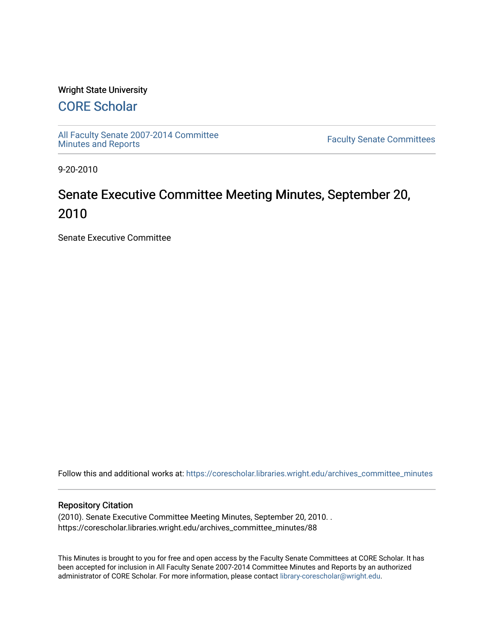### Wright State University

# [CORE Scholar](https://corescholar.libraries.wright.edu/)

[All Faculty Senate 2007-2014 Committee](https://corescholar.libraries.wright.edu/archives_committee_minutes)

**Faculty Senate Committees** 

9-20-2010

# Senate Executive Committee Meeting Minutes, September 20, 2010

Senate Executive Committee

Follow this and additional works at: [https://corescholar.libraries.wright.edu/archives\\_committee\\_minutes](https://corescholar.libraries.wright.edu/archives_committee_minutes?utm_source=corescholar.libraries.wright.edu%2Farchives_committee_minutes%2F88&utm_medium=PDF&utm_campaign=PDFCoverPages) 

#### Repository Citation

(2010). Senate Executive Committee Meeting Minutes, September 20, 2010. . https://corescholar.libraries.wright.edu/archives\_committee\_minutes/88

This Minutes is brought to you for free and open access by the Faculty Senate Committees at CORE Scholar. It has been accepted for inclusion in All Faculty Senate 2007-2014 Committee Minutes and Reports by an authorized administrator of CORE Scholar. For more information, please contact [library-corescholar@wright.edu.](mailto:library-corescholar@wright.edu)